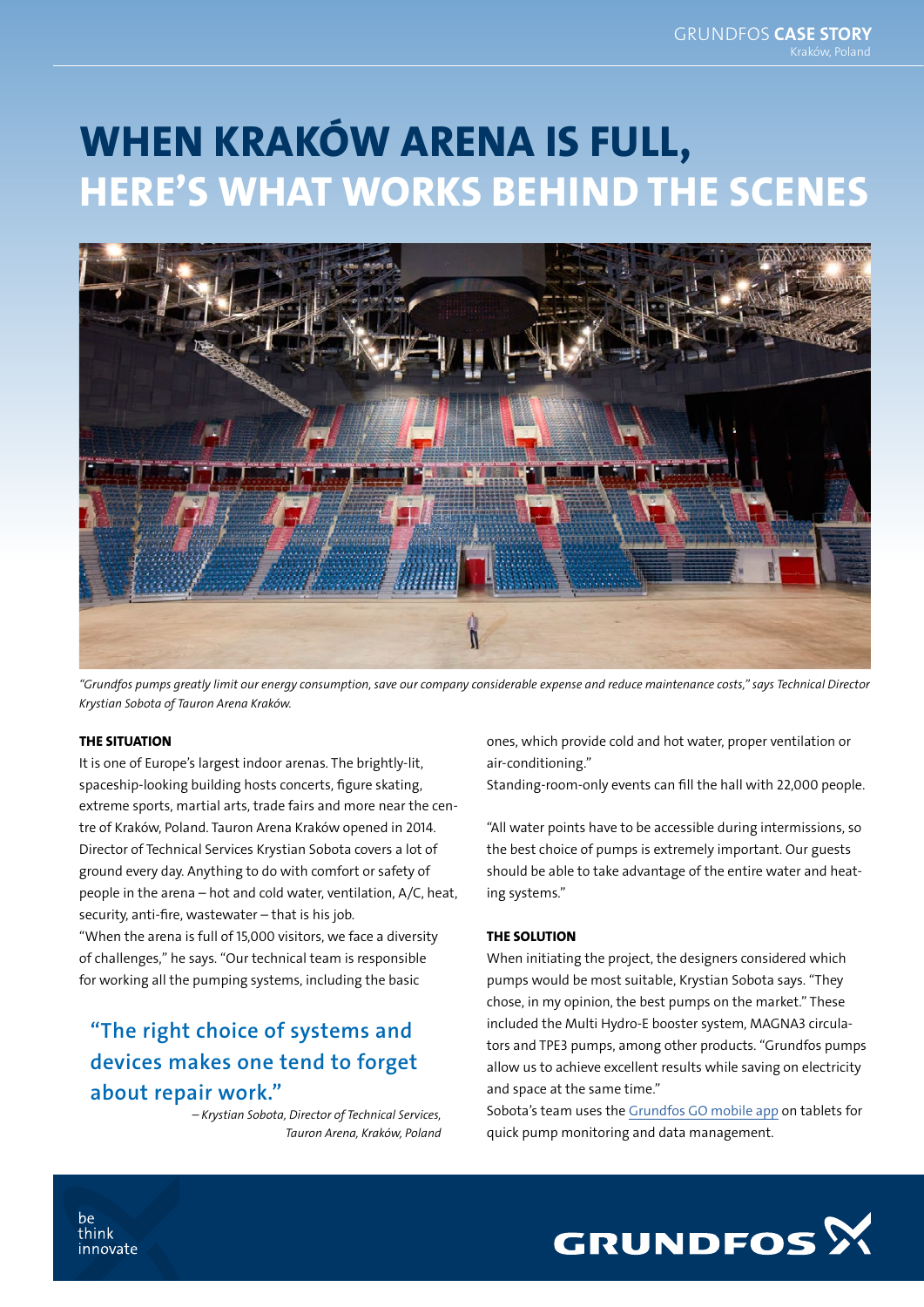# WHEN KRAKÓW ARENA IS FULL, HERE'S WHAT WORKS BEHIND THE SCENES



*"Grundfos pumps greatly limit our energy consumption, save our company considerable expense and reduce maintenance costs," says Technical Director Krystian Sobota of Tauron Arena Kraków.*

#### THE SITUATION

It is one of Europe's largest indoor arenas. The brightly-lit, spaceship-looking building hosts concerts, figure skating, extreme sports, martial arts, trade fairs and more near the centre of Kraków, Poland. Tauron Arena Kraków opened in 2014. Director of Technical Services Krystian Sobota covers a lot of ground every day. Anything to do with comfort or safety of people in the arena – hot and cold water, ventilation, A/C, heat, security, anti-fire, wastewater – that is his job. "When the arena is full of 15,000 visitors, we face a diversity of challenges," he says. "Our technical team is responsible for working all the pumping systems, including the basic

## "The right choice of systems and devices makes one tend to forget about repair work."

*– Krystian Sobota, Director of Technical Services, Tauron Arena, Kraków, Poland* ones, which provide cold and hot water, proper ventilation or air-conditioning."

Standing-room-only events can fill the hall with 22,000 people.

"All water points have to be accessible during intermissions, so the best choice of pumps is extremely important. Our guests should be able to take advantage of the entire water and heating systems."

#### THE SOLUTION

When initiating the project, the designers considered which pumps would be most suitable, Krystian Sobota says. "They chose, in my opinion, the best pumps on the market." These included the Multi Hydro-E booster system, MAGNA3 circulators and TPE3 pumps, among other products. "Grundfos pumps allow us to achieve excellent results while saving on electricity and space at the same time."

Sobota's team uses the [Grundfos GO mobile app](http://www.grundfos.com/products/find-product/grundfos-go.html) on tablets for quick pump monitoring and data management.



be think innovate